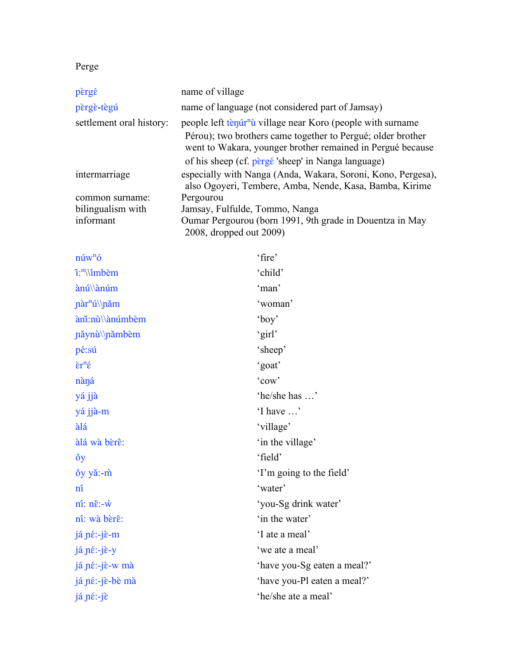# Perge

| pèrgé                    | name of village                                                                                                           |
|--------------------------|---------------------------------------------------------------------------------------------------------------------------|
| pèrgè tègú               | name of language (not considered part of Jamsay)                                                                          |
| settlement oral history: | people left tenúr <sup>n</sup> ù village near Koro (people with surname                                                   |
|                          | Pérou); two brothers came together to Pergué; older brother<br>went to Wakara, younger brother remained in Pergué because |
|                          | of his sheep (cf. pergé 'sheep' in Nanga language)                                                                        |
| intermarriage            | especially with Nanga (Anda, Wakara, Soroni, Kono, Pergesa),<br>also Ogoyeri, Tembere, Amba, Nende, Kasa, Bamba, Kirime   |
| common surname:          | Pergourou                                                                                                                 |
| bilingualism with        | Jamsay, Fulfulde, Tommo, Nanga                                                                                            |
| informant                | Oumar Pergourou (born 1991, 9th grade in Douentza in May<br>2008, dropped out 2009)                                       |

| $n$ úw <sup>n</sup> ó                  | 'fire'                      |
|----------------------------------------|-----------------------------|
| î: <sup>n</sup> \\îmbèm                | 'child'                     |
| ànú\\ànúm                              | 'man'                       |
| nàr <sup>n</sup> ú\\nǎm                | 'woman'                     |
| ànǐ:nù\\ànúmbèm                        | 'boy'                       |
| năynù\\nămbèm                          | 'girl'                      |
| pé:sú                                  | 'sheep'                     |
| $\epsilon r^n \acute{\epsilon}$        | 'goat'                      |
| nàná                                   | 'cow'                       |
| yá jjà                                 | 'he/she has '               |
| yá jjà-m                               | 'I have '                   |
| àlá                                    | 'village'                   |
| àlá wà bèrê:                           | 'in the village'            |
| <b>ŏy</b>                              | 'field'                     |
| ŏy yǎ:-m̀                              | T'm going to the field'     |
| nî                                     | 'water'                     |
| $n\hat{i}$ : $n\check{e}$ :- $\hat{w}$ | 'you-Sg drink water'        |
| nî: wà bèrê:                           | 'in the water'              |
| já né:-jè-m                            | 'I ate a meal'              |
| já né:-jè-y                            | 'we ate a meal'             |
| já né:-jè-w mà                         | 'have you-Sg eaten a meal?' |
| já né:-jè-bè mà                        | 'have you-Pl eaten a meal?' |
| já né:-jè                              | 'he/she ate a meal'         |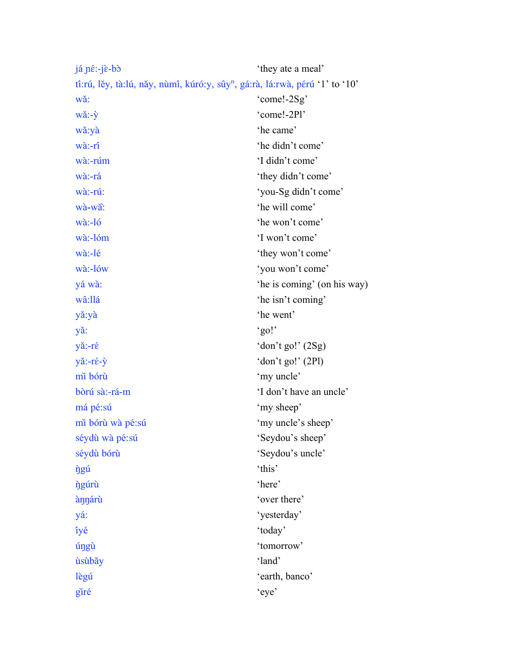| $i\in \mathbb{R}$ :- $i\in \mathbb{R}$ -bò                                               | 'they ate a meal'           |
|------------------------------------------------------------------------------------------|-----------------------------|
| tî:rú, lěy, tà:lú, năy, nùmî, kúró:y, sûy <sup>n</sup> , gá:rà, lá:rwà, pérú 'l' to 'l0' |                             |
| wǎ:                                                                                      | 'come!-2Sg'                 |
| wǎ:-ỳ                                                                                    | 'come!-2Pl'                 |
| wǎ:yà                                                                                    | 'he came'                   |
| wà:-rî                                                                                   | 'he didn't come'            |
| wà:-rúm                                                                                  | 'I didn't come'             |
| wà:-rá                                                                                   | 'they didn't come'          |
| wà:-rú:                                                                                  | 'you-Sg didn't come'        |
| wà-wà:                                                                                   | 'he will come'              |
| $w\hat{a}$ :-ló                                                                          | 'he won't come'             |
| wà:-lóm                                                                                  | 'I won't come'              |
| wà:-lé                                                                                   | 'they won't come'           |
| wà:-lów                                                                                  | 'you won't come'            |
| yá wà:                                                                                   | 'he is coming' (on his way) |
| wâ:llá                                                                                   | 'he isn't coming'           |
| yǎ:yà                                                                                    | 'he went'                   |
| yǎ:                                                                                      | 'go!                        |
| yǎ:-ré                                                                                   | 'don't go!' $(2Sg)$         |
| yǎ:-ré-ỳ                                                                                 | 'don't go!' (2Pl)           |
| mi bórù                                                                                  | 'my uncle'                  |
| bòrú sà:-rá-m                                                                            | 'I don't have an uncle'     |
| má pé:sú                                                                                 | 'my sheep'                  |
| mi bórù wà pé:sú                                                                         | 'my uncle's sheep'          |
| séydù wà pé:sú                                                                           | 'Seydou's sheep'            |
| séydù bórù                                                                               | 'Seydou's uncle'            |
| <i>ngú</i>                                                                               | 'this'                      |
| <i>ngúru</i>                                                                             | 'here'                      |
| ànnárù                                                                                   | 'over there'                |
| yá:                                                                                      | 'yesterday'                 |
| îyé                                                                                      | 'today'                     |
| úngù                                                                                     | 'tomorrow'                  |
| ùsùbǎy                                                                                   | 'land'                      |
| lègú                                                                                     | 'earth, banco'              |
| giré                                                                                     | 'eye'                       |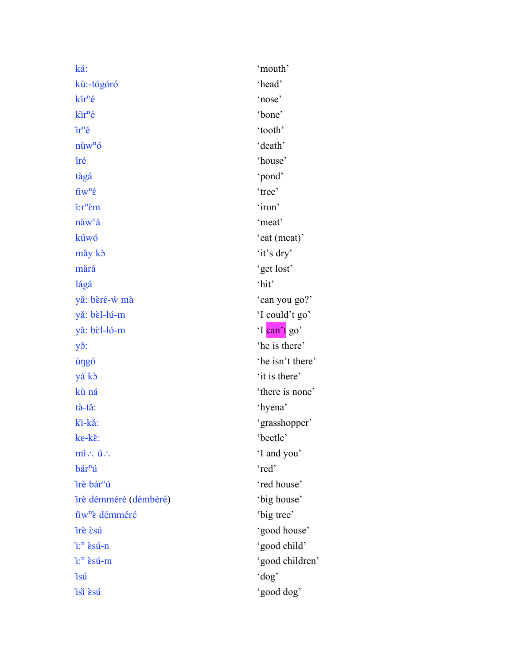ká: 'mouth' kù:-tógóró 'head'  $k\hat{i}r^n\hat{e}$  'nose' k`ir<sup>n</sup>é 'bone'  $ir^n$ é 'tooth' nùw<sup>n</sup>ó 'death' íré 'house' tàgá 'pond'  $\tilde{\mathbf{t}}$ i $\mathbf{w}^{\mathrm{n}}$  $\hat{\mathbf{\varepsilon}}$  'tree'  $\hat{i}:r$ <sup>n</sup> $\hat{\epsilon}$ m 'iron'  $\hat{\mathbf{n}}$ a $\mathbf{w}^{\mathbf{n}}$ á 'meat' kúwó 'eat (meat)' mǎy kò 'it's dry' màrá 'get lost' lágá 'hit' yǎ: bèré-ẁ mà 'can you go?' yǎ: bèl-lú-m 'I could't go' yǎ: bèl-ló-m 'I can't go' y $\hat{c}$ : 'he is there' ùŋgó 'he isn't there' yá kɔ̀ 'it is there' kù ná  $\theta$ 'there is none' tà-tǎ: 'hyena' kì-kǎ: 'grasshopper' ke-kě: 'beetle' mi∴ ú∴ in the same of the same of the same of the same of the same of the same of the same of the same of the same of the same of the same of the same of the same of the same of the same of the same of the same of the sam bár<sup>n</sup>ú 'red' ìrè bárⁿú 'red house' irè démméré (démbéré)<sup>'</sup> big house' tìw<sup>n</sup>è démméré 'big tree' Irè esú d'aposto de la contrattura de la contrattura de la contrattura de la contrattura de la contrattura de la contrattura de la contrattura de la contrattura de la contrattura de la contrattura de la contrattura de la c ì:ⁿ ɛ̀su-́n 'good child' i:<sup>n</sup> èsu-m 'good children' ìsú 'dog' ìsìɛ̀sú 'good dog'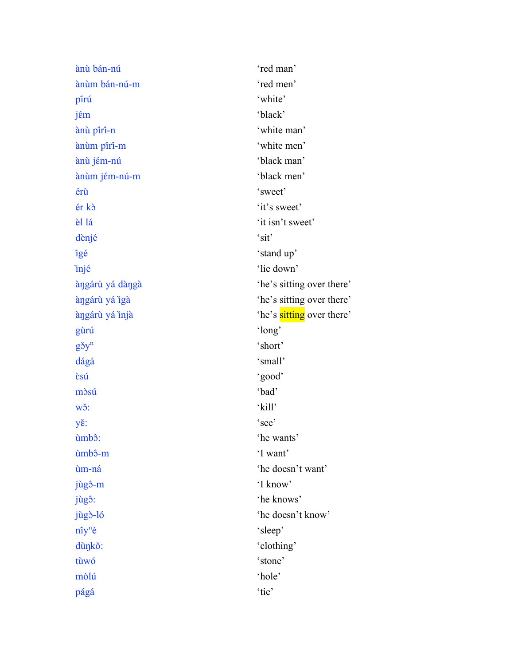| ànù bán-nú      | 'red man'                 |
|-----------------|---------------------------|
| ànùm bán-nú-m   | 'red men'                 |
| pîrú            | 'white'                   |
| jém             | 'black'                   |
| ànù pîrî-n      | 'white man'               |
| ànùm pîrî-m     | 'white men'               |
| ànù jém-nú      | 'black man'               |
| ànùm jém-nú-m   | 'black men'               |
| érù             | 'sweet'                   |
| ér kò           | 'it's sweet'              |
| èl lá           | 'it isn't sweet'          |
| dènjé           | 'sit'                     |
| îgé             | 'stand up'                |
| injé            | 'lie down'                |
| àngárù yá dàngà | 'he's sitting over there' |
| àngárù yá igà   | 'he's sitting over there' |
| àngárù yá injà  | 'he's sitting over there' |
| gùrú            | 'long'                    |
| $g\check{g}y^n$ | 'short'                   |
| dágá            | 'small'                   |
| èsú             | 'good'                    |
| mòsú            | 'bad'                     |
| wǒ:             | 'kill'                    |
| yě:             | 'see'                     |
| ùmbô:           | 'he wants'                |
| ùmbô-m          | 'I want'                  |
| ùm-ná           | 'he doesn't want'         |
| jùgô-m          | 'I know'                  |
| jùgô:           | 'he knows'                |
| jùgò-ló         | 'he doesn't know'         |
| $nn$ é          | 'sleep'                   |
| dùnkǒ:          | 'clothing'                |
| tùwó            | 'stone'                   |
| mòlú            | 'hole'                    |
| págá            | 'tie'                     |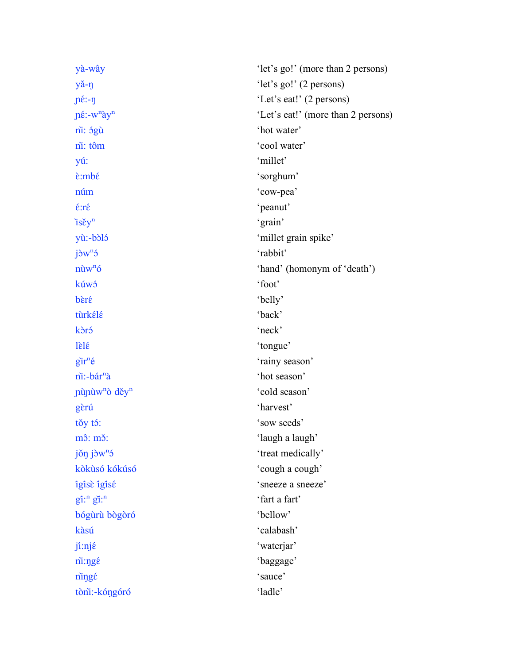| yà-wây                                                    | 'let's go!' (more than 2 persons)  |  |  |
|-----------------------------------------------------------|------------------------------------|--|--|
| yă-n                                                      | 'let's go!' (2 persons)            |  |  |
| $\pi \in \mathbb{R}$                                      | 'Let's eat!' (2 persons)           |  |  |
| $\pi$ <sup>2</sup> :-w <sup>n</sup> $\gamma$ <sup>n</sup> | 'Let's eat!' (more than 2 persons) |  |  |
| ni: <i>ágù</i>                                            | 'hot water'                        |  |  |
| ni: tôm                                                   | 'cool water'                       |  |  |
| yú:                                                       | 'millet'                           |  |  |
| è:mbé                                                     | 'sorghum'                          |  |  |
| núm                                                       | 'cow-pea'                          |  |  |
| $\acute{\epsilon}$ :ré                                    | 'peanut'                           |  |  |
| $i$ sěy <sup>n</sup>                                      | 'grain'                            |  |  |
| yù:-bòló                                                  | 'millet grain spike'               |  |  |
| $j\eth W^{n}5$                                            | 'rabbit'                           |  |  |
| $n\grave{u}w^n\acute{o}$                                  | 'hand' (homonym of 'death')        |  |  |
| kúwó                                                      | 'foot'                             |  |  |
| bèré                                                      | 'belly'                            |  |  |
| tùrkélé                                                   | 'back'                             |  |  |
| kòró                                                      | 'neck'                             |  |  |
| $l\grave{\epsilon}$                                       | 'tongue'                           |  |  |
| $\tilde{\text{g}}$ ir <sup>n</sup> é                      | 'rainy season'                     |  |  |
| ni:-bár <sup>n</sup> à                                    | 'hot season'                       |  |  |
| nùnùw <sup>n</sup> ò děy <sup>n</sup>                     | 'cold season'                      |  |  |
| gèrú                                                      | 'harvest'                          |  |  |
| tǒy tó:                                                   | 'sow seeds'                        |  |  |
| $m\hat{3}$ : $m\check{3}$ :                               | 'laugh a laugh'                    |  |  |
| $j\delta\eta$ $j\delta w^n$                               | 'treat medically'                  |  |  |
| kòkùsó kókúsó                                             | 'cough a cough'                    |  |  |
| îgîsè îgîsé                                               | 'sneeze a sneeze'                  |  |  |
| $\tilde{\text{gi}}$ :" $\tilde{\text{gi}}$ :"             | 'fart a fart'                      |  |  |
| bógùrù bògòró                                             | 'bellow'                           |  |  |
| kàsú                                                      | 'calabash'                         |  |  |
| jî:njé                                                    | 'waterjar'                         |  |  |
| ni:ngé                                                    | 'baggage'                          |  |  |
| ningé                                                     | 'sauce'                            |  |  |
| tòni:-kóŋgóró                                             | 'ladle'                            |  |  |
|                                                           |                                    |  |  |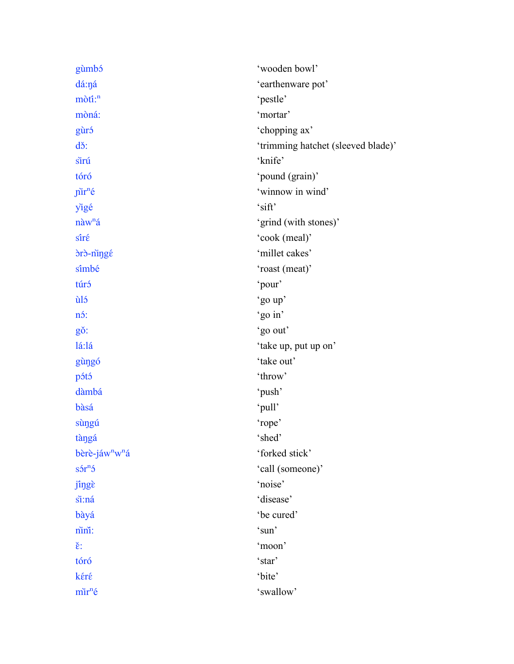| gùmbó                                  | 'wooden bowl'                      |  |  |
|----------------------------------------|------------------------------------|--|--|
| dá:ná                                  | 'earthenware pot'                  |  |  |
| mòtî: <sup>n</sup>                     | 'pestle'                           |  |  |
| mòná:                                  | 'mortar'                           |  |  |
| gùró                                   | 'chopping ax'                      |  |  |
| dš:                                    | 'trimming hatchet (sleeved blade)' |  |  |
| sirú                                   | 'knife'                            |  |  |
| tóró                                   | 'pound (grain)'                    |  |  |
| <i>j</i> ir <sup>n</sup> é             | 'winnow in wind'                   |  |  |
| yigé                                   | 'sift'                             |  |  |
| nàw <sup>n</sup> á                     | 'grind (with stones)'              |  |  |
| sîré                                   | 'cook (meal)'                      |  |  |
| drd-ningé                              | 'millet cakes'                     |  |  |
| sîmbé                                  | 'roast (meat)'                     |  |  |
| túró                                   | 'pour'                             |  |  |
| ùló                                    | 'go up'                            |  |  |
| nó:                                    | 'go in'                            |  |  |
| gǒ:                                    | 'go out'                           |  |  |
| lá:lá                                  | 'take up, put up on'               |  |  |
| gùngó                                  | 'take out'                         |  |  |
| pótó                                   | 'throw'                            |  |  |
| dàmbá                                  | 'push'                             |  |  |
| bàsá                                   | 'pull'                             |  |  |
| sùngú                                  | 'rope'                             |  |  |
| tàngá                                  | 'shed'                             |  |  |
| bèrè-jáw <sup>n</sup> w <sup>n</sup> á | 'forked stick'                     |  |  |
| $s5r^{n}5$                             | 'call (someone)'                   |  |  |
| jingè                                  | 'noise'                            |  |  |
| si:ná                                  | 'disease'                          |  |  |
| bàyá                                   | 'be cured'                         |  |  |
| nini:                                  | 'sun'                              |  |  |
| $\check{\epsilon}$ :                   | 'moon'                             |  |  |
| tóró                                   | 'star'                             |  |  |
| kéré                                   | 'bite'                             |  |  |
| mir <sup>n</sup> é                     | 'swallow'                          |  |  |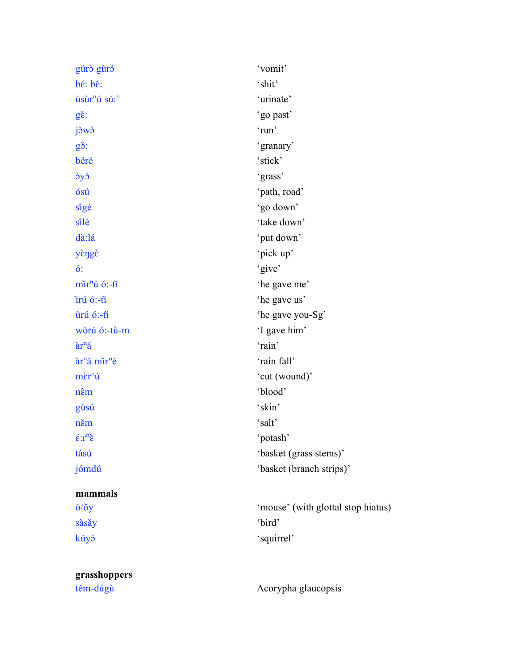| gúrò gùró                                          | 'vomit'                            |
|----------------------------------------------------|------------------------------------|
| bé: bě:                                            | 'shit'                             |
| ùsùr <sup>n</sup> ú sú: <sup>n</sup>               | 'urinate'                          |
| $g\check{\epsilon}$ :                              | 'go past'                          |
| jòwó                                               | 'run'                              |
| g <sub>3</sub> :                                   | 'granary'                          |
| béré                                               | 'stick'                            |
| dyó                                                | 'grass'                            |
| ósú                                                | 'path, road'                       |
| sîgé                                               | 'go down'                          |
| sîlé                                               | 'take down'                        |
| dà:lá                                              | 'put down'                         |
| yèngé                                              | 'pick up'                          |
| $\acute{o}$ :                                      | 'give'                             |
| mir <sup>n</sup> ú ó:-ti                           | 'he gave me'                       |
| irú ó:-ti                                          | 'he gave us'                       |
| ùrú ó:-ti                                          | 'he gave you-Sg'                   |
| wòrú ó:-tù-m                                       | 'I gave him'                       |
| $\hat{a}r^n\hat{a}$                                | 'rain'                             |
| àr <sup>n</sup> á mir <sup>n</sup> é               | 'rain fall'                        |
| $m\tilde{\epsilon}r^n\tilde{u}$                    | 'cut (wound)'                      |
| nêm                                                | 'blood'                            |
| gùsú                                               | 'skin'                             |
| něm                                                | 'salt'                             |
| $\hat{\epsilon}$ : r <sup>n</sup> $\hat{\epsilon}$ | 'potash'                           |
| tású                                               | 'basket (grass stems)'             |
| jómdú                                              | 'basket (branch strips)'           |
| mammals                                            |                                    |
| $\delta/\check{O}y$                                | 'mouse' (with glottal stop hiatus) |
| sàsǎy                                              | 'bird'                             |
| kúyó                                               | 'squirrel'                         |
| grasshoppers                                       |                                    |
| tém-dúgù                                           | Acorypha glaucopsis                |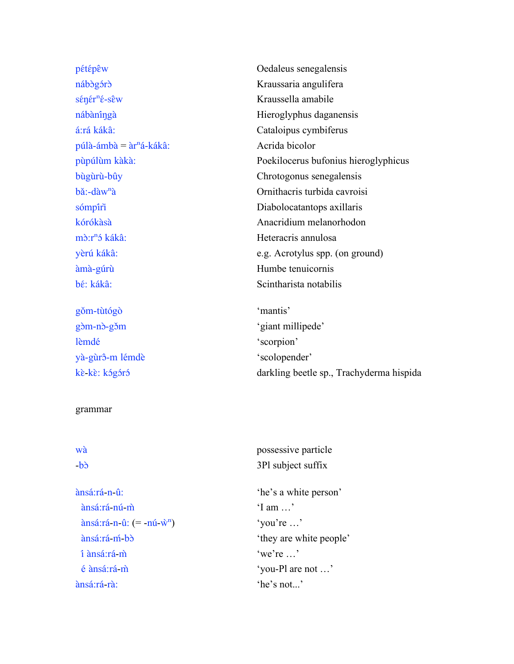pétépêw Oedaleus senegalensis nábògórò Kraussaria angulifera sénér<sup>n</sup>é-sêw Kraussella amabile nábàningà Hieroglyphus daganensis á:rá kákâ: Cataloipus cymbiferus  $púlà-\hat{a}mbà = \hat{a}r^n\hat{a}-k\hat{a}k\hat{a}$ : Acrida bicolor bùgùrù-bûy Chrotogonus senegalensis bǎ:-dàw<sup>n</sup>à <sup>Di</sup> Ornithacris turbida cavroisi sómpiri kórókàsà **Anacridium melanorhodon** mò: r<sup>n</sup>ó kákâ: Heteracris annulosa àma-̀gúrù Humbe tenuicornis bé: kákâ: Scintharista notabilis

gǒm-tùtógò 'mantis' gòm-nò-gòm 'giant millipede' lèmdé 'scorpion' yà-gùrô-m lémdè 'scolopender'

#### grammar

wà possessive particle b> 3Pl subject suffix ànsá:ra-́n-û: 'he's a white person' ànsá:ra-́nú-m̀ 'I am …'  $\arcsin 2 \cdot \arcsin 2 \cdot \arcsin 2 \cdot \arcsin 2 \cdot \arcsin 2 \cdot \arcsin 2 \cdot \arcsin 2 \cdot \arcsin 2 \cdot \arcsin 2 \cdot \arcsin 2 \cdot \arcsin 2 \cdot \arcsin 2 \cdot \arcsin 2 \cdot \arcsin 2 \cdot \arcsin 2 \cdot \arcsin 2 \cdot \arcsin 2 \cdot \arcsin 2 \cdot \arcsin 2 \cdot \arcsin 2 \cdot \arcsin 2 \cdot \arcsin 2 \cdot \arcsin 2 \cdot \arcsin 2 \cdot \arcsin 2 \cdot \arcsin 2 \cdot \arcsin 2 \cdot \arcsin$  ànsá:ra-́m-́bɔ̀ 'they are white people' í ànsá:ra-́m̀ 'we're …' é ànsá:ra-́m̀ 'you-Pl are not …' ànsá:ra-́rà: 'he's not...'

pùpúlùm kàkà: Poekilocerus bufonius hieroglyphicus yèrú kákâ: e.g. Acrotylus spp. (on ground)

kè-kè: kógóró darkling beetle sp., Trachyderma hispida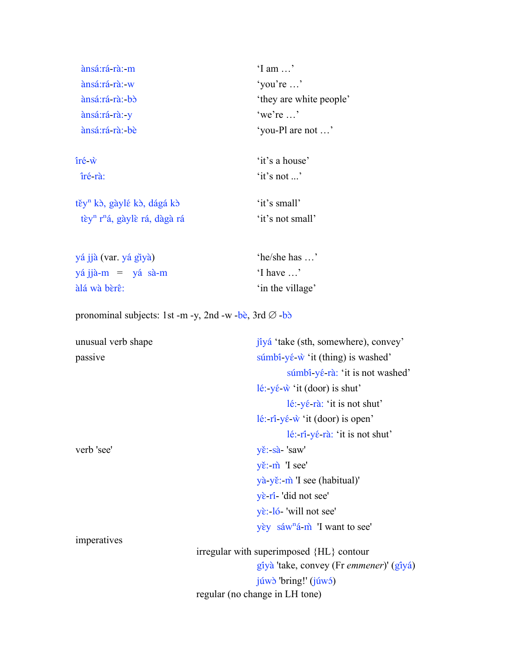| ànsá:rá rà: m                                                     | ' $1$ am $\ldots$ '                                                                          |
|-------------------------------------------------------------------|----------------------------------------------------------------------------------------------|
| ànsá:rá-rà:-w                                                     | 'you're '                                                                                    |
| ànsá:rá-rà:-bò                                                    | 'they are white people'                                                                      |
| ànsá:rá-rà: y                                                     | 'we're '                                                                                     |
| ànsá:rá-rà:-bè                                                    | 'you-Pl are not '                                                                            |
| $\hat{\text{ir\'e}}$ $\hat{\text{w}}$                             | 'it's a house'                                                                               |
| îré rà:                                                           | 'it's not '                                                                                  |
| těy <sup>n</sup> kò, gàylé kò, dágá kò                            | 'it's small'                                                                                 |
| tèy <sup>n</sup> r <sup>n</sup> á, gàylè rá, dàgà rá              | 'it's not small'                                                                             |
| yá jjà (var. yá giyà)                                             | 'he/she has '                                                                                |
| yá jjà-m = yá sà-m                                                | 'I have '                                                                                    |
| àlá wà bèrê:                                                      | 'in the village'                                                                             |
| pronominal subjects: 1st -m -y, 2nd -w -bè, 3rd $\varnothing$ -bò |                                                                                              |
| unusual verb shape                                                | jîyá 'take (sth, somewhere), convey'                                                         |
| passive                                                           | súmbî-yé- $\hat{w}$ 'it (thing) is washed'                                                   |
|                                                                   | súmbî-yé-rà: 'it is not washed'                                                              |
|                                                                   | lé: $y \in \hat{w}$ 'it (door) is shut'                                                      |
|                                                                   | $16:$ -y $6$ -rà: 'it is not shut'                                                           |
|                                                                   | lé: $\vec{\mathbf{n}}$ -yé- $\vec{\mathbf{w}}$ 'it (door) is open'                           |
|                                                                   | $l\acute{e}$ : $\acute{r}$ $\acute{i}$ - $\gamma\acute{e}$ - $r\grave{a}$ : 'it is not shut' |
| verb 'see'                                                        | yě:-sà-'saw'                                                                                 |
|                                                                   | yě:-m 'I see'                                                                                |
|                                                                   | yà-yě:-m̀ 'I see (habitual)'                                                                 |
|                                                                   | $y\hat{\epsilon}$ -ri-'did not see'                                                          |
|                                                                   | yè:-ló-'will not see'                                                                        |
|                                                                   | yèy sáw <sup>n</sup> á-m̀ 'I want to see'                                                    |

imperatives

irregular with superimposed {HL} contour gîyà 'take, convey (Fr emmener)' (gîyá) júwò 'bring!' (júwó) regular (no change in LH tone)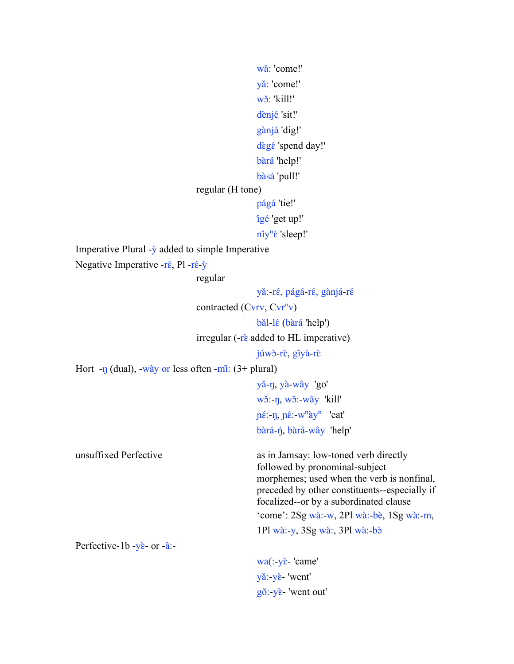```
wǎ: 'come!'
                                                  vǎ: 'come!'
                                                  wǒ: 'kill!'
                                                  dènjé 'sit!'
                                                  gànjá 'dig!'
                                                  dègé 'spend day!'
                                                  bàrá 'help!'
                                                  bàsá 'pull!'
                                 regular (H tone)
                                                  págá 'tie!'
                                                  îgé 'get up!'
                                                  n<sup>n</sup>ế 'sleep!'
Imperative Plural -\dot{y} added to simple Imperative
Negative Imperative -r\hat{\epsilon}, Pl -r\hat{\epsilon}-\hat{y}regular
                                                  yǎ:-ré, págá-ré, gànjá-ré
                                 contracted (Cvrv, Cvr<sup>n</sup>v)bǎl-lɛ́ (bàrá 'help')
                                 irregular (-r\grave{\epsilon}) added to HL imperative)
                                                  júwò-rè, gîyà-rè
Hort -ŋ (dual), -wây or less often -mî: (3+) plural)
                                                  yǎ-n, yà-wây 'go'
                                                  wǒ: n, wǒ: wây 'kill'
                                                  \pié:-n, \pié:-w<sup>n</sup>ày<sup>n</sup> 'eat'
                                                  bàra-́ŋ́, bàra-́wây 'help'
unsuffixed Perfective as in Jamsay: low-toned verb directly 
                                                  followed by pronominal-subject 
                                                  morphemes; used when the verb is nonfinal, 
                                                  preceded by other constituents--especially if 
                                                  focalized--or by a subordinated clause
                                                  'come': 2Sg wà:-w, 2Pl wà:-bè, 1Sg wà:-m,
                                                  1Pl wà:-y, 3Sg wà:, 3Pl wà:-bɔ̀
Perfective-1b -yè- or -â:-
```

```
wa(:-yè-'came'
yǎ:-yɛ̀- 'went'
gŏ: yὲ- 'went out'
```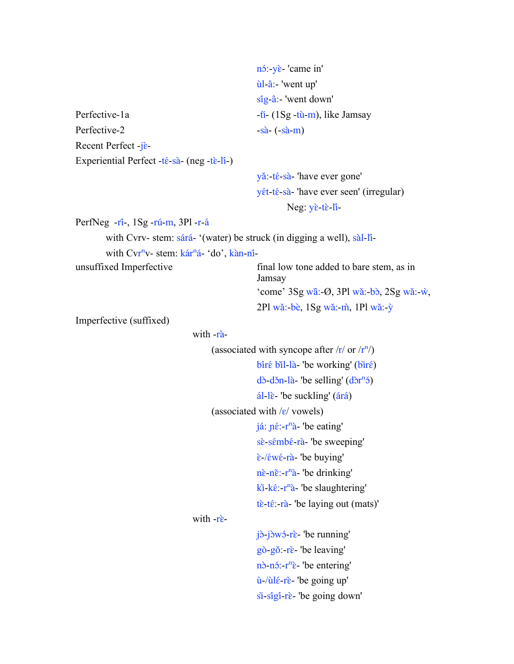```
n<sup>ó</sup>: yè 'came in'
                                                         ùl-â:- 'went up'
                                                        síg-â:- 'went down'
Perfective-1a -ii-(iSg - t\hat{u}-m), like Jamsay
Perfective-2 -s\hat{a}-(s\hat{a}-m)Recent Perfect -jɛ̀-
Experiential Perfect -t\acute{\epsilon}-sà-(neg -t\grave{\epsilon}-li<sup>-</sup>)
                                                        yǎ:-té-sà-'have ever gone'
                                                        yét-té-sà-'have ever seen' (irregular)
                                                                  Neg: yè-tè-li-
PerfNeg -ri-, 1Sg -ri-m, 3Pl -r-iwith Cvrv- stem: sárá- '(water) be struck (in digging a well), sàl-li-
         with Cvr<sup>n</sup>v- stem: kár<sup>n</sup>á- 'do', kàn-nî-
unsuffixed Imperfective final low tone added to bare stem, as in 
                                                         Jamsay
                                                         'come' 3Sg w\hat{a}:-\varnothing, 3Pl w\hat{a}:-b\hat{b}, 2Sg w\hat{a}:-\hat{w},
                                                         2P1 wǎ:-bè, 1Sg wǎ:-m̂, 1P1 wǎ:-\hat{y}Imperfective (suffixed)
                                    with -\vec{r}(associated with syncope after \frac{r}{r} or \frac{r}{r})
                                                        bîrê bil-là- 'be working' (birê)
                                                        d\delta-d\deltan-là-'be selling' (d\delta r^n \delta)
                                                        a<sup>1</sup>)<sup>-</sup> be suckling' (a<sup>2</sup>)<sup>-</sup>
                                          (associated with \frac{\varepsilon}{\varepsilon} vowels)
                                                        já: \pi \hat{\epsilon}: r^n\hat{a}- 'be eating'
                                                        sè-sémbé-rà- 'be sweeping'
                                                        ɛ̀-/ɛ́wɛ́-ra-̀ 'be buying'
                                                        n\tilde{\epsilon}: r^n\tilde{a}- 'be drinking'
                                                        kī-kɛ́:-rʰā- 'be slaughtering'
                                                         t\hat{\epsilon}-t\hat{\epsilon}:-rà-'be laying out (mats)'
                                    with -rè-
                                                        jò-jòwó-rè- 'be running'
                                                        gò-gǒ:-rɛ̀- 'be leaving'
                                                        nò-nó:-r<sup>n</sup>è- 'be entering'
                                                         ù-/ùlɛ́-rɛ̀- 'be going up'
                                                         si-sigi-rè- 'be going down'
```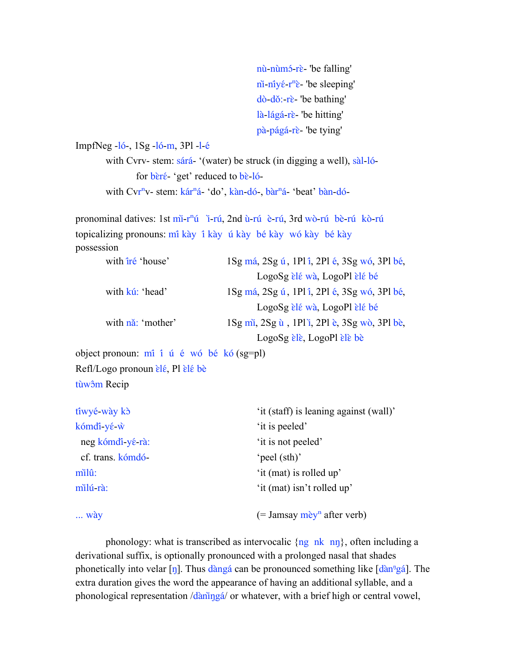nù-nùm<sup>5</sup>-rè- 'be falling' ni̇̃-ni̇̃γέ-r<sup>n</sup>ὲ- 'be sleeping' dò-dǒ:-rɛ̀- 'be bathing' là-lágá-rè- 'be hitting' pà-págá-rè- 'be tying'

```
ImpfNeg -l6-, 1Sg -l6-m, 3Pl -l-6
```
with Cvrv- stem: sárá- '(water) be struck (in digging a well), sàl-lófor  $\vec{ber}$ <sup> $\acute{e}$ - 'get' reduced to  $\vec{be}$ -ló-</sup> with Cvr<sup>n</sup>v- stem: kár<sup>n</sup>á- 'do', kàn-dó-, bàr<sup>n</sup>á- 'beat' bàn-dó-

pronominal datives: 1st mi-r<sup>n</sup>ú i-rú, 2nd ù-rú è-rú, 3rd wò-rú bè-rú kò-rú topicalizing pronouns: mî kày î kày ú kày bé kày wó kày bé kày possession

| with <i>iré</i> 'house'     | 1Sg má, 2Sg ú, 1Pl i, 2Pl é, 3Sg wó, 3Pl bé,                               |
|-----------------------------|----------------------------------------------------------------------------|
|                             | LogoSg èlé wà, LogoPl èlé bé                                               |
| with kú: 'head'             | 1Sg má, 2Sg ú, 1Pl î, 2Pl é, 3Sg wó, 3Pl bé,                               |
|                             | LogoSg èlé wà, LogoPl èlé bé                                               |
| with na <sup>2</sup> mother | $1\text{Sg m}$ i, $2\text{Sg u}$ , 1Pl i, 2Pl è, $3\text{Sg w}$ ò, 3Pl bè, |
|                             | $LogoSg$ ele, LogoPl ele be                                                |

object pronoun:  $m\hat{i}$  i<sup> $\hat{u}$ </sup> é wó bé kó (sg=pl) Refl/Logo pronoun *èlé*, Pl èlé bè

tùw<sub>o</sub>̂m Recip

| tiwyé-wày kò      | 'it (staff) is leaning against (wall)' |
|-------------------|----------------------------------------|
| kómdi yé w        | 'it is peeled'                         |
| neg kómdi yé rà:  | 'it is not peeled'                     |
| cf. trans. kómdó- | 'peel (sth)'                           |
| milû:             | 'it (mat) is rolled up'                |
| milú rà:          | 'it (mat) isn't rolled up'             |
| $\ldots$ wày      | (= Jamsay mèy <sup>n</sup> after verb) |

phonology: what is transcribed as intervocalic  $\{ng \nk \nn\}$ , often including a derivational suffix, is optionally pronounced with a prolonged nasal that shades phonetically into velar [ŋ]. Thus danga can be pronounced something like [dan<sup>n</sup>ga]. The extra duration gives the word the appearance of having an additional syllable, and a phonological representation /daninga/ or whatever, with a brief high or central vowel,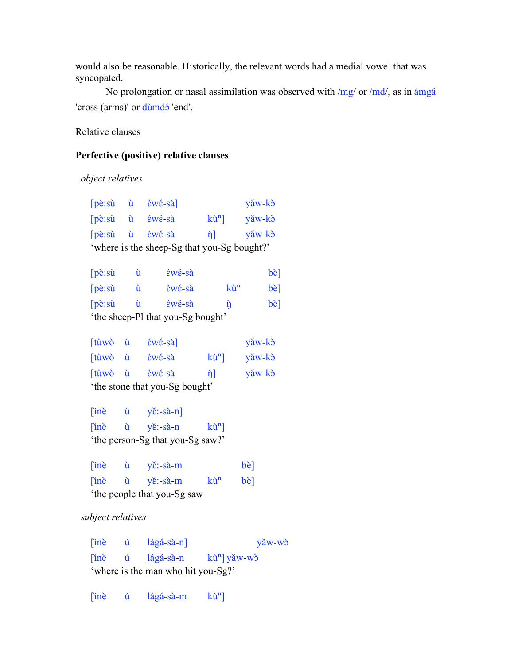would also be reasonable. Historically, the relevant words had a medial vowel that was syncopated.

No prolongation or nasal assimilation was observed with /mg/ or /md/, as in ámgá 'cross (arms)' or dùmdó 'end'.

Relative clauses

### **Perfective (positive) relative clauses**

 *object relatives*

|                                             |  | pè:sù ù éwé-sà]                                                                                                                                                                                                                                                                                                                                                                                                                          |                | yǎw kò                |
|---------------------------------------------|--|------------------------------------------------------------------------------------------------------------------------------------------------------------------------------------------------------------------------------------------------------------------------------------------------------------------------------------------------------------------------------------------------------------------------------------------|----------------|-----------------------|
|                                             |  | $[p\grave{e}:\dot{su} \quad \grave{u} \quad \acute{\epsilon}w\acute{\epsilon}$ -sà                                                                                                                                                                                                                                                                                                                                                       | $k\hat{u}^n$ ] | yǎw kò                |
|                                             |  | pè:sù ù éwé-sà                                                                                                                                                                                                                                                                                                                                                                                                                           |                | η] yǎw-kò             |
| 'where is the sheep-Sg that you-Sg bought?' |  |                                                                                                                                                                                                                                                                                                                                                                                                                                          |                |                       |
|                                             |  | pè:sù ù éwé-sà                                                                                                                                                                                                                                                                                                                                                                                                                           |                | bè]                   |
|                                             |  | pè:sù ù éwé-sà                                                                                                                                                                                                                                                                                                                                                                                                                           | $k\tilde{u}^n$ | bè]                   |
|                                             |  |                                                                                                                                                                                                                                                                                                                                                                                                                                          |                |                       |
|                                             |  | pè:sù ù éwé-sà                                                                                                                                                                                                                                                                                                                                                                                                                           | ñ              | bè]                   |
|                                             |  | 'the sheep-Pl that you-Sg bought'                                                                                                                                                                                                                                                                                                                                                                                                        |                |                       |
|                                             |  | [tùwò ù éwé-sà]                                                                                                                                                                                                                                                                                                                                                                                                                          |                | yǎw kò                |
|                                             |  | tùwò ù éwé-sà                                                                                                                                                                                                                                                                                                                                                                                                                            |                | $k\hat{u}^{n}$ yǎw-kò |
|                                             |  | tùwò ù éwé sà                                                                                                                                                                                                                                                                                                                                                                                                                            | ŋ]             | yǎw kò                |
|                                             |  | 'the stone that you-Sg bought'                                                                                                                                                                                                                                                                                                                                                                                                           |                |                       |
|                                             |  |                                                                                                                                                                                                                                                                                                                                                                                                                                          |                |                       |
|                                             |  | $[\text{in}\hat{e} \quad \hat{u} \quad \text{y}\hat{e}:\text{-}\hat{a}\cdot n]$                                                                                                                                                                                                                                                                                                                                                          |                |                       |
| inè                                         |  | $\hat{u}$ yě:-sà-n kù <sup>n</sup> ]                                                                                                                                                                                                                                                                                                                                                                                                     |                |                       |
| 'the person-Sg that you-Sg saw?'            |  |                                                                                                                                                                                                                                                                                                                                                                                                                                          |                |                       |
|                                             |  | înè ù yě:-sà-m                                                                                                                                                                                                                                                                                                                                                                                                                           |                | bè]                   |
| inè                                         |  | $\hat{u}$ $\hat{v}$ : sà m                                                                                                                                                                                                                                                                                                                                                                                                               | $k\tilde{u}^n$ | bè]                   |
| the people that you-Sg saw                  |  |                                                                                                                                                                                                                                                                                                                                                                                                                                          |                |                       |
|                                             |  |                                                                                                                                                                                                                                                                                                                                                                                                                                          |                |                       |
| subject relatives                           |  |                                                                                                                                                                                                                                                                                                                                                                                                                                          |                |                       |
|                                             |  | $\left[ \text{in} \right]$ $\text{in}$ $\left[ \text{in} \right]$ $\left[ \text{in} \right]$ $\left[ \text{in} \right]$ $\left[ \text{in} \right]$ $\left[ \text{in} \right]$ $\left[ \text{in} \right]$ $\left[ \text{in} \right]$ $\left[ \text{in} \right]$ $\left[ \text{in} \right]$ $\left[ \text{in} \right]$ $\left[ \text{in} \right]$ $\left[ \text{in} \right]$ $\left[ \text{in} \right]$ $\left[ \text{in} \right]$ $\left$ |                | yǎw-wò                |
|                                             |  | [inè ú lágá-sà-n kù <sup>n</sup> ] yǎw-wò                                                                                                                                                                                                                                                                                                                                                                                                |                |                       |
| 'where is the man who hit you-Sg?'          |  |                                                                                                                                                                                                                                                                                                                                                                                                                                          |                |                       |
|                                             |  |                                                                                                                                                                                                                                                                                                                                                                                                                                          |                |                       |

 $[\text{inè} \quad \text{ú} \quad \text{lagá-sà-m} \quad \text{ku}^n]$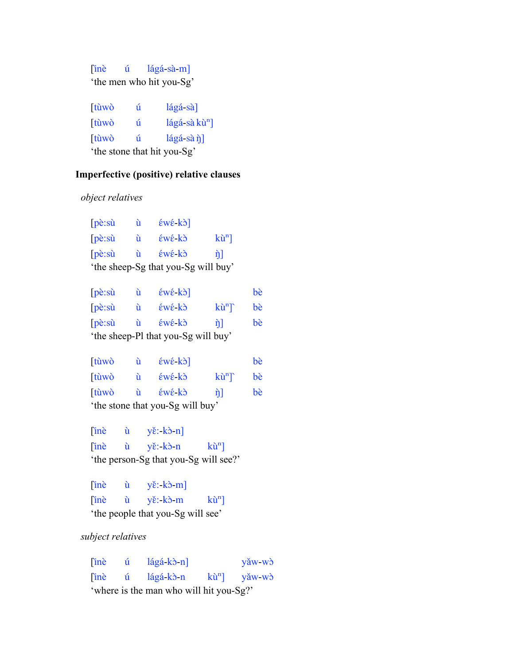[inè ú lágá-sà-m] 'the men who hit you-Sg'

| [tùwò        | ú | $\lceil \frac{4}{2} \rceil$                                                      |
|--------------|---|----------------------------------------------------------------------------------|
| [tùwò        | ú | $\frac{\text{Iágá-sà}}{\text{hù}}$                                               |
| <b>Itùwò</b> | ń | $\left[\frac{\text{diag}}{\text{diag}} - \frac{\text{diag}}{\text{diag}}\right]$ |
|              |   | 'the stone that hit you-Sg'                                                      |

### **Imperfective (positive) relative clauses**

 *object relatives*

| $pe: \nabla$            | ù | $\epsilon w \epsilon$ -kò]          |              |
|-------------------------|---|-------------------------------------|--------------|
| $\lceil p \hat{e}$ : sù | ù |                                     | $k\hat{u}^n$ |
| $\lceil p \hat{e}$ : sù | ù |                                     | ήI           |
|                         |   | 'the sheep-Sg that you-Sg will buy' |              |

| $[p \hat{e} \cdot s \hat{u}]$ | ú  | $\epsilon w \epsilon$ -kò]          |              | bè |
|-------------------------------|----|-------------------------------------|--------------|----|
| $[p \hat{e} \cdot s \hat{u}]$ | ù  | $\epsilon w \epsilon$ ko            | $k\hat{u}^n$ | bè |
| $[p \hat{e} \cdot s \hat{u}]$ | ù. | $\epsilon w \epsilon$ ko            | ήI           | bè |
|                               |    | 'the sheep-Pl that you-Sg will buy' |              |    |

| tùwò | ù  | $\mathbf{\hat{\epsilon}}$ $\mathbf{\hat{\epsilon}}$ $\mathbf{\hat{k}}$ $\mathbf{\hat{\delta}}$ |                    | bè |
|------|----|------------------------------------------------------------------------------------------------|--------------------|----|
| tùwò | Ĥ. | $\epsilon w \epsilon$ ko                                                                       | $k\hat{u}^n$       | bè |
| tùwò | ù. | $\epsilon w \epsilon$ ko                                                                       | $\hat{\mathbf{n}}$ | bè |
|      |    | 'the stone that you-Sg will buy'                                                               |                    |    |

 $[\text{in}\text{e} \quad \hat{u} \quad \text{y}\text{e}:k\text{e}-n]$  $[\text{in}\text{e} \quad \text{u} \quad \text{y}\text{e}:k\text{b}-\text{n} \quad \text{k}\text{u}^{\text{n}}]$ 'the person-Sg that you-Sg will see?'

 $[\text{in}\text{e} \quad \hat{u} \quad \text{y}\text{e}: k\text{b}-m]$  $[\text{in}\hat{e} \quad \hat{u} \quad y\check{e}:\text{k}\hat{o}\text{-m} \quad k\hat{u}^n]$ 'the people that you-Sg will see'

 *subject relatives*

| ine | <u>u</u>           | $\lceil \log_4 k \rangle$ -n]           | yǎw wò                |
|-----|--------------------|-----------------------------------------|-----------------------|
| ine | $\hat{\mathbf{u}}$ | lágá kò n                               | $k\hat{u}^{n}$ yǎw-wò |
|     |                    | 'where is the man who will hit you-Sg?' |                       |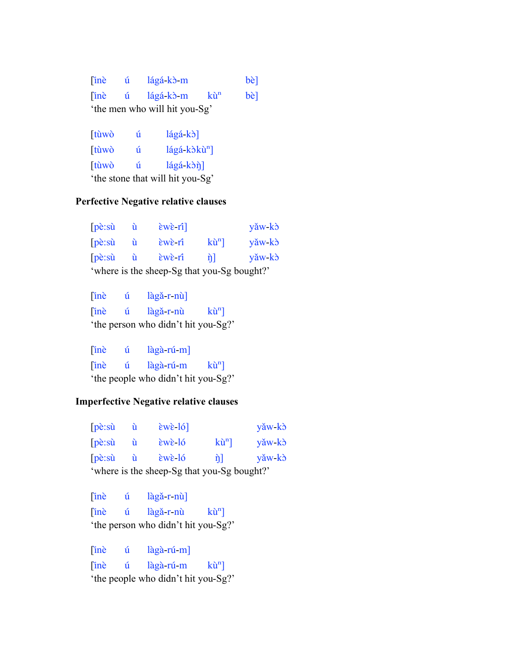[inè ú lágá-kɔ̀-m bè]  $[\text{in\`e} \quad \text{u} \quad \text{laga-k} \cdot \text{m} \quad \text{ku} \quad \text{be}]$ 'the men who will hit you-Sg'

[tùwò ú lágá-kò] [tùwò ú lágá-kòkù<sup>n</sup>]  $[tùw\`o$   $\acute{u}$   $lágá-k\`o\`n]$ 'the stone that will hit you-Sg'

## **Perfective Negative relative clauses**

| $pe: \nabla$ | u | $\text{ewe-fil}$                            |                    | yǎw kò |
|--------------|---|---------------------------------------------|--------------------|--------|
| $pe: \nabla$ | ú | $\epsilon$ w $\epsilon$ -rî                 | $k\hat{u}^n$       | yǎw kò |
| pe:su        | ù | $ew\hat{\epsilon}$ ri                       | $\hat{\mathbf{n}}$ | yǎw kò |
|              |   | 'where is the sheep-Sg that you-Sg bought?' |                    |        |

[inè ú làgă-r-nù]  $[\text{in\`e} \quad \text{ú} \quad \text{lag\`a-r-nù} \quad \text{ku}^n]$ 'the person who didn't hit you-Sg?'

 $[in\hat{e}$   $\hat{u}$   $l\hat{a}g\hat{a}$ -rú- $m]$  $\[\begin{matrix}\n\text{inè} & \text{ú} & \text{lagà-rú-m} & \text{ki}^n\n\end{matrix}\]$ 'the people who didn't hit you-Sg?'

#### **Imperfective Negative relative clauses**

| $[p \hat{e} \cdot s \hat{u}]$               |     | $\epsilon$ we $\delta$ ]    |                | yǎw kò |
|---------------------------------------------|-----|-----------------------------|----------------|--------|
| $\lceil p\hat{e}$ : sù                      | Ú   | $\epsilon$ w $\epsilon$ -ló | $k\hat{u}^n$ ] | yǎw kò |
| $\lceil p \hat{e}$ : sù                     | - ù | $\epsilon$ w $\epsilon$ -ló | n <sup>1</sup> | yǎw kò |
| 'where is the sheep-Sg that you-Sg bought?' |     |                             |                |        |

[inè ú làgǎ-r-nù]  $[\text{in\`e} \quad \text{ú} \quad \text{lag\`a-r-nù} \quad \text{ku\`n}]$ 'the person who didn't hit you-Sg?'

[inè ú làgà-rú-m]  $[\text{in\`e} \quad \text{u} \quad \text{lag\`a-ru-m} \quad \text{ku}^n]$ 'the people who didn't hit you-Sg?'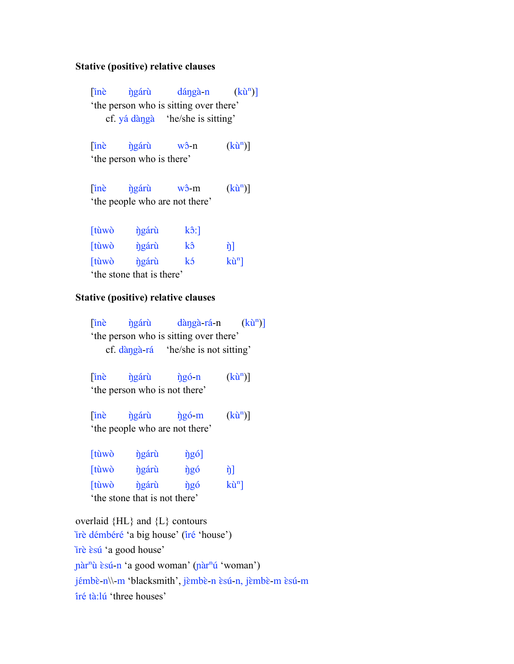#### **Stative (positive) relative clauses**

[inè *ŋ̀gáru*̀ dáŋgà-n (kù<sup>n</sup>)] 'the person who is sitting over there' cf. yá dàŋgà 'he/she is sitting'

 $[\text{in\^e} \quad \text{igar\`u} \quad \text{w\`o-n} \quad (\text{k\`u\`n})]$ 'the person who is there'

 $[\text{in\^e} \quad \text{ngáru} \quad \text{w\^o-m} \quad (\text{k\`u\!}^n)]$ 'the people who are not there'

| [tùwò | ngáru                     | $k\hat{o}$ :] |              |
|-------|---------------------------|---------------|--------------|
| [tùwò | ngáru                     | kô            | ή            |
| [tùwò | <i>ngáru</i>              | kó            | $k\hat{u}^n$ |
|       | 'the stone that is there' |               |              |

#### **Stative (positive) relative clauses**

 $[\text{in\`e} \quad \text{igáru} \quad \text{dàngà-rá-n} \quad (\text{kù}^n)]$ 'the person who is sitting over there' cf. dàŋga-̀rá 'he/she is not sitting'  $[\text{in\^e} \quad \text{ingáru} \quad \text{ingo-n} \quad (\text{k\`u}^n)]$ 'the person who is not there'

[inè *ŋ̀gáru*̀ *ŋ̀gó-m* (kù<sup>n</sup>)] 'the people who are not there'

| [tùwò | <i>ngáru</i>                  | $\hat{\eta}$ gó] |              |
|-------|-------------------------------|------------------|--------------|
| [tùwò | ngáru                         | ngó              | ή            |
| [tùwò | ngáru                         | ngó              | $k\hat{u}^n$ |
|       | 'the stone that is not there' |                  |              |

overlaid {HL} and {L} contours irè démbéré 'a big house' (iré 'house') irè *èsu* 'a good house' pàr<sup>n</sup>ù èsú-n 'a good woman' (pàr<sup>n</sup>ú 'woman') jémbè-n\\-m 'blacksmith', jèmbè-n èsú-n, jèmbè-m èsú-m îré tà:lú 'three houses'